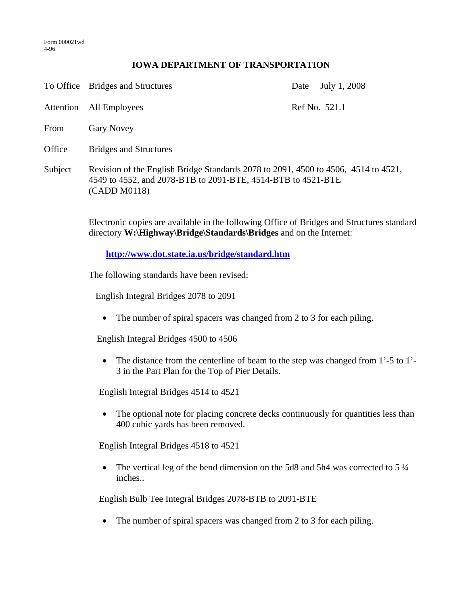Form 000021wd 4-96

## **IOWA DEPARTMENT OF TRANSPORTATION**

|           | To Office Bridges and Structures                                                                                                                                   | July 1, 2008<br>Date |
|-----------|--------------------------------------------------------------------------------------------------------------------------------------------------------------------|----------------------|
| Attention | All Employees                                                                                                                                                      | Ref No. 521.1        |
| From      | <b>Gary Novey</b>                                                                                                                                                  |                      |
| Office    | <b>Bridges and Structures</b>                                                                                                                                      |                      |
| Subject   | Revision of the English Bridge Standards 2078 to 2091, 4500 to 4506, 4514 to 4521,<br>4549 to 4552, and 2078-BTB to 2091-BTE, 4514-BTB to 4521-BTE<br>(CADD M0118) |                      |
|           | Electronic copies are available in the following Office of Bridges and Structures stand                                                                            |                      |

Electronic copies are available in the following Office of Bridges and Structures standard directory **W:\Highway\Bridge\Standards\Bridges** and on the Internet:

**http://www.dot.state.ia.us/bridge/standard.htm**

The following standards have been revised:

English Integral Bridges 2078 to 2091

• The number of spiral spacers was changed from 2 to 3 for each piling.

English Integral Bridges 4500 to 4506

• The distance from the centerline of beam to the step was changed from 1'-5 to 1'-3 in the Part Plan for the Top of Pier Details.

English Integral Bridges 4514 to 4521

• The optional note for placing concrete decks continuously for quantities less than 400 cubic yards has been removed.

English Integral Bridges 4518 to 4521

• The vertical leg of the bend dimension on the 5d8 and 5h4 was corrected to 5  $\frac{1}{4}$ inches..

English Bulb Tee Integral Bridges 2078-BTB to 2091-BTE

• The number of spiral spacers was changed from 2 to 3 for each piling.